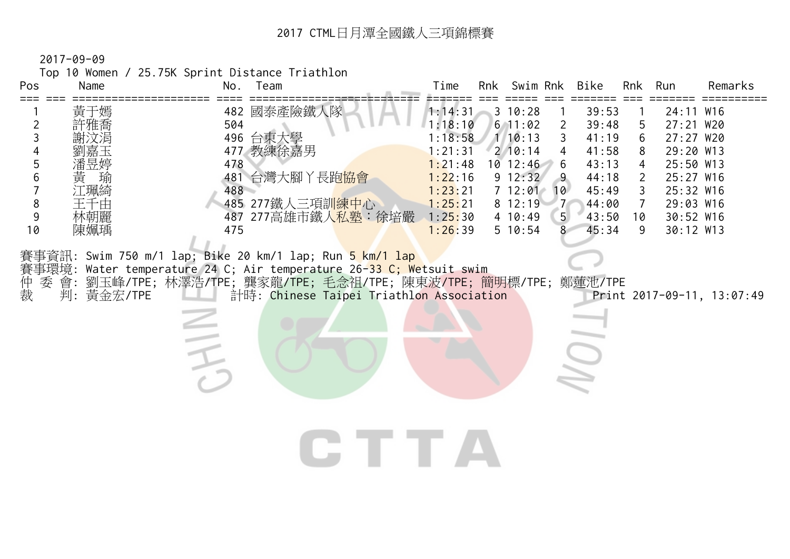Top 10 Women / 25.75K Sprint Distance Triathlon

| Pos<br>Name                                                                                                     | Team<br>No.                                                                                                                                                                                                                                                                                                                                                                              | Time                                                                                                       | Rnk Swim Rnk                                                                                                                   |                                                                                                           | Bike                                                                                   | <b>Rnk</b>                                                                        | Run                                                                                                                            | Remarks                    |
|-----------------------------------------------------------------------------------------------------------------|------------------------------------------------------------------------------------------------------------------------------------------------------------------------------------------------------------------------------------------------------------------------------------------------------------------------------------------------------------------------------------------|------------------------------------------------------------------------------------------------------------|--------------------------------------------------------------------------------------------------------------------------------|-----------------------------------------------------------------------------------------------------------|----------------------------------------------------------------------------------------|-----------------------------------------------------------------------------------|--------------------------------------------------------------------------------------------------------------------------------|----------------------------|
| $===$<br>黃于嫣<br>許雅喬<br>2<br>3<br>5<br>潘昱婷<br>6<br>黃<br>瑐<br>江珮綺<br>8<br>王千由<br>林朝麗<br>9<br>10<br>陳姵瑀<br>仲裁<br>委 | 482 國泰產險鐵人隊<br>504<br>496 台東大學<br>477 教練徐嘉男<br>478<br>481 台灣大腳丫長跑 <mark>協會</mark><br>488<br>485 277鐵人三項訓 <mark>練中心</mark><br>487 277高雄市鐵人 <mark>私塾:徐培嚴</mark><br>475<br>賽事資訊: Swim 750 m/1 lap; Bike 20 km/1 lap; Run <mark>5 km/1 lap</mark><br>賽事環境: Water temperature 24 C; Air temperature 26-33 C; Wetsuit swim<br>會: 劉玉峰/TPE; 林澤浩/TPE; 龔家龍/TPE; 毛念祖/TPE; 陳東波/TPE; 簡明標/TPE; 鄭蓮池/TPE | 1:14:31<br>1:18:10<br>1:18:58<br>1:21:31<br>1:21:48<br>1:22:16<br>1:23:21<br>1:25:21<br>1:25:30<br>1:26:39 | $3 \t10:28$<br>$6$ 11:02<br>$1 \ 10:13$<br>$2 \t10:14$<br>$10$ 12:46<br>$9 \t12:32$<br>712:01<br>8 12:19<br>4 10:49<br>5 10:54 | $\mathbf{2}$<br>3<br>4<br>6<br>$\overline{9}$<br>10<br>7 <sup>7</sup><br>5 <sub>l</sub><br>8 <sup>1</sup> | 39:53<br>39:48<br>41:19<br>41:58<br>43:13<br>44:18<br>45:49<br>44:00<br>43:50<br>45:34 | 5<br>6<br>8<br>4<br>$\overline{2}$<br>$\mathfrak{Z}$<br>$\overline{7}$<br>10<br>9 | 24:11 W16<br>27:21 W20<br>27:27 W20<br>29:20 W13<br>25:50 W13<br>25:27 W16<br>25:32 W16<br>29:03 W16<br>30:52 W16<br>30:12 W13 |                            |
| 判: 黃金宏/TPE                                                                                                      | 計時: Chinese Taipei Triathlon Association                                                                                                                                                                                                                                                                                                                                                 | IE TE .                                                                                                    |                                                                                                                                |                                                                                                           |                                                                                        |                                                                                   |                                                                                                                                | Print 2017-09-11, 13:07:49 |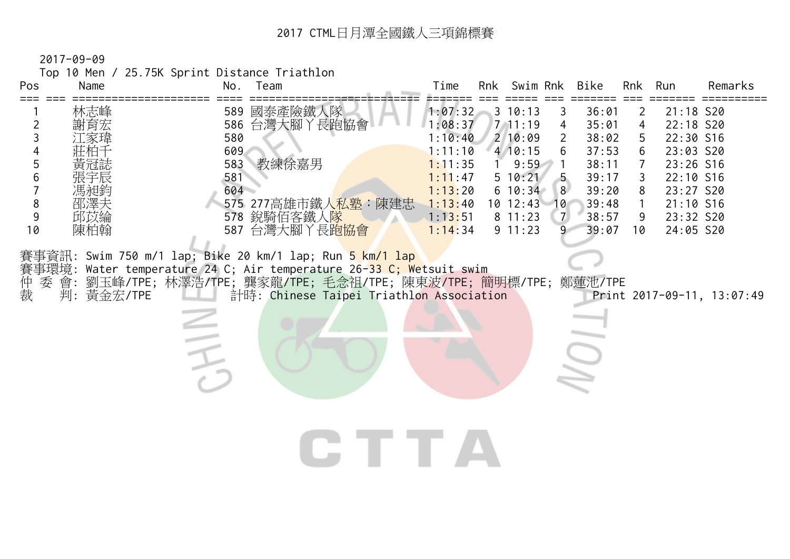Top 10 Men / 25.75K Sprint Distance Triathlon

| . v p<br>Pos<br>=== | $101111$ $2011011$<br>Name |                          | No. Team                                                                                                                                                                                                                                                                    | Time                                     | Rnk Swim Rnk                            |                                                     | Bike                             | Rnk                          | Run                                              | Remarks                    |
|---------------------|----------------------------|--------------------------|-----------------------------------------------------------------------------------------------------------------------------------------------------------------------------------------------------------------------------------------------------------------------------|------------------------------------------|-----------------------------------------|-----------------------------------------------------|----------------------------------|------------------------------|--------------------------------------------------|----------------------------|
| 2<br>3              | 林志峰<br>謝育宏                 | 580                      | 589 國泰產險鐵人隊<br>586 台灣大腳丫長跑協會                                                                                                                                                                                                                                                | 1:07:32<br>1:08:37<br>1:10:40            | 3 10:13<br>7, 11:19<br>210:09           | 3<br>4<br>$\overline{2}$                            | 36:01<br>35:01<br>38:02          | 2<br>$\overline{4}$<br>5     | 21:18 S20<br>22:18 S20<br>22:30 S16              |                            |
| 5<br>6              | 馮昶鈞                        | 609<br>583<br>581<br>604 | 教練徐嘉男                                                                                                                                                                                                                                                                       | 1:11:10<br>1:11:35<br>1:11:47<br>1:13:20 | 410:15<br>9:59<br>5 10:21<br>$6\ 10:34$ | 8                                                   | 37:53<br>38:11<br>39:17<br>39:20 | 6<br>$\mathcal{I}$<br>3<br>8 | 23:03 S20<br>23:26 S16<br>22:10 S16<br>23:27 S20 |                            |
| 8<br>9<br>10        | 邵澤夫<br>邱苡綸<br>陳柏翰          |                          | 575 277高雄市鐵人 <mark>私塾:陳建忠</mark><br>578 銳騎佰客鐵人隊<br>587 台灣大腳丫長跑協會                                                                                                                                                                                                            | 1:13:40<br>1:13:51<br>1:14:34            | $10$ 12:43<br>811:23<br>9 11:23         | 10 <sup>°</sup><br>$\overline{z}$<br>$\overline{9}$ | 39:48<br>38:57<br>39:07          | $\mathbf{1}$<br>9<br>10      | 21:10 S16<br>23:32 S20<br>24:05 S20              |                            |
| 仲裁<br>委             | 判: 黃金宏/TPE                 |                          | 賽事資訊: Swim 750 m/1 lap; Bike 20 km/1 lap; Run <mark>5 km/1 lap</mark><br>賽事環境: Water temperature 24 C; Air temperature 26- <mark>33 C; We</mark> tsuit swim<br>會: 劉玉峰/TPE; 林澤浩/TPE; 龔家龍/TPE; 毛念祖/TPE; 陳東波/TPE; 簡明標/TPE; 鄭蓮池/TPE<br>計時: Chinese Taipei Triathlon Association |                                          |                                         |                                                     |                                  |                              |                                                  | Print 2017-09-11, 13:07:49 |
|                     |                            |                          |                                                                                                                                                                                                                                                                             |                                          |                                         |                                                     |                                  |                              |                                                  |                            |
|                     |                            |                          |                                                                                                                                                                                                                                                                             |                                          |                                         |                                                     |                                  |                              |                                                  |                            |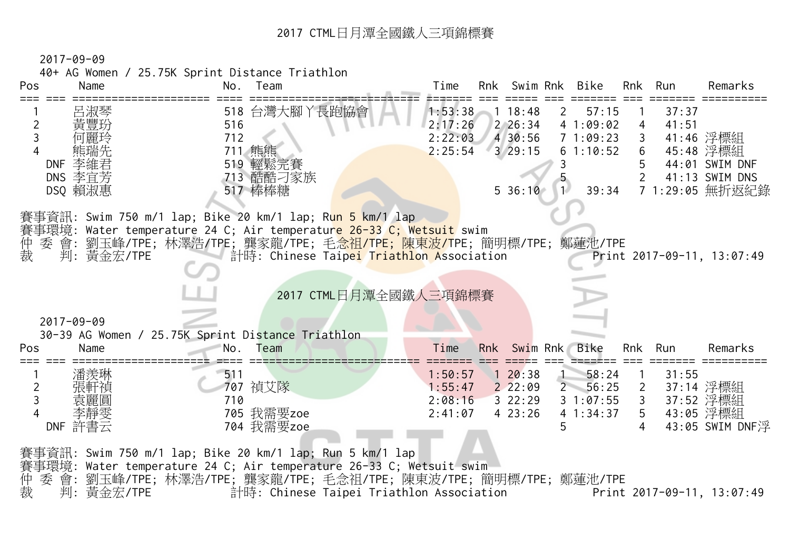2017-09-09

40+ AG Women / 25.75K Sprint Distance Triathlon

| Pos        | Name                                              | No.     | Team                                                                                                                                           | Time               | Rnk Swim Rnk      |              | Bike              | Rnk            | Run            | Remarks                    |
|------------|---------------------------------------------------|---------|------------------------------------------------------------------------------------------------------------------------------------------------|--------------------|-------------------|--------------|-------------------|----------------|----------------|----------------------------|
|            | 呂淑琴<br>黃豐玢                                        | 516     | 518 台灣大腳丫長跑協會                                                                                                                                  | 1:53:38<br>2:17:26 | 118:48<br>2 26:34 | $\mathbf{2}$ | 57:15<br>41:09:02 | $\overline{4}$ | 37:37<br>41:51 |                            |
|            |                                                   | 712     |                                                                                                                                                | 2:22:03            | 4 30:56           |              | 71:09:23          | $\mathbf{3}$   |                | 41:46 浮標組                  |
|            |                                                   | 711 熊熊  |                                                                                                                                                | 2:25:54            | 329:15            |              | 61:10:52          | 6              |                | 45:48 浮標組                  |
| <b>DNF</b> | 李維君                                               |         | 519 輕鬆完賽                                                                                                                                       |                    |                   |              |                   | 5              |                | 44:01 SWIM DNF             |
|            | DNS 李宜芳                                           |         | 713 酷酷刁家族                                                                                                                                      |                    |                   |              |                   |                |                | 41:13 SWIM DNS             |
|            | DSQ 賴淑惠                                           | 517 棒棒糖 |                                                                                                                                                |                    | $5\,36:10\quad1$  |              | 39:34             |                |                | 7 1:29:05 無折返紀錄            |
|            |                                                   |         |                                                                                                                                                |                    |                   |              |                   |                |                |                            |
|            |                                                   |         | 賽事資訊: Swim 750 m/1 lap; Bike 20 km/1 lap; R <mark>un 5 km/1 l</mark> ap<br>賽事環境: Water temperature 24 C; Air temperature 26-33 C; Wetsuit swim |                    |                   |              |                   |                |                |                            |
| 仲          |                                                   |         | 委 會: 劉玉峰/TPE; 林澤浩/TPE; 龔家龍/TPE; 毛 <del>念祖/TPE; 陳東波/T</del> PE; 簡明標/TPE; 鄭蓮池/TPE                                                                |                    |                   |              |                   |                |                |                            |
| 裁          | 判:黃金宏/TPE                                         |         | <b>【 計時: Chinese Taip<mark>ei Triathlo</mark>n Association</b>                                                                                 |                    |                   |              |                   |                |                | Print 2017-09-11, 13:07:49 |
|            |                                                   |         |                                                                                                                                                |                    |                   |              |                   |                |                |                            |
|            |                                                   |         |                                                                                                                                                |                    |                   |              |                   |                |                |                            |
|            |                                                   |         |                                                                                                                                                |                    |                   |              |                   |                |                |                            |
|            |                                                   |         | 2017 CTML日月潭全國鐵人三項錦標賽                                                                                                                          |                    |                   |              |                   |                |                |                            |
|            |                                                   |         |                                                                                                                                                |                    |                   |              |                   |                |                |                            |
|            | $2017 - 09 - 09$                                  |         |                                                                                                                                                |                    |                   |              |                   |                |                |                            |
|            | 30-39 AG Women / 25.75K Sprint Distance Triathlon |         |                                                                                                                                                |                    |                   |              |                   |                |                |                            |
|            | Name                                              | No.     | Team                                                                                                                                           | Time               | Rnk Swim Rnk      |              | Bike              | Rnk            | Run            | Remarks                    |
|            | 潘羡琳                                               | 511     |                                                                                                                                                | 1:50:57            | 120:38            |              | 58:24             | $\overline{1}$ | 31:55          |                            |
| 2          | 張軒禎                                               | 707 禎艾隊 |                                                                                                                                                | 1:55:47            | $2\,22:09$        |              | 2 56:25           | $\overline{2}$ |                | 37:14 浮標組                  |
| 3          | 袁麗圓                                               | 710     |                                                                                                                                                | 2:08:16            | 322:29            |              | 31:07:55          | $\mathbf{3}$   |                | 37:52 浮標組                  |
|            | 李靜雯                                               |         | 705 我需要zoe                                                                                                                                     | 2:41:07            | 423:26            |              | 41:34:37          | 5              |                | 43:05 浮標組                  |
|            | DNF 許書云                                           |         | 704 我需要zoe                                                                                                                                     |                    |                   |              |                   | 4              |                | 43:05 SWIM DNF浮            |
| Pos        |                                                   |         |                                                                                                                                                |                    |                   |              |                   |                |                |                            |
|            |                                                   |         | 賽事資訊: Swim 750 m/1 lap; Bike 20 km/1 lap; Run 5 km/1 lap                                                                                       |                    |                   |              |                   |                |                |                            |
| 仲<br>委 會:  |                                                   |         | 賽事環境: Water temperature 24 C; Air temperature 26-33 C; Wetsuit swim<br>劉玉峰/TPE; 林澤浩/TPE; 龔家龍/TPE; 毛念祖/TPE; 陳東波/TPE; 簡明標/TPE; 鄭蓮池/TPE           |                    |                   |              |                   |                |                |                            |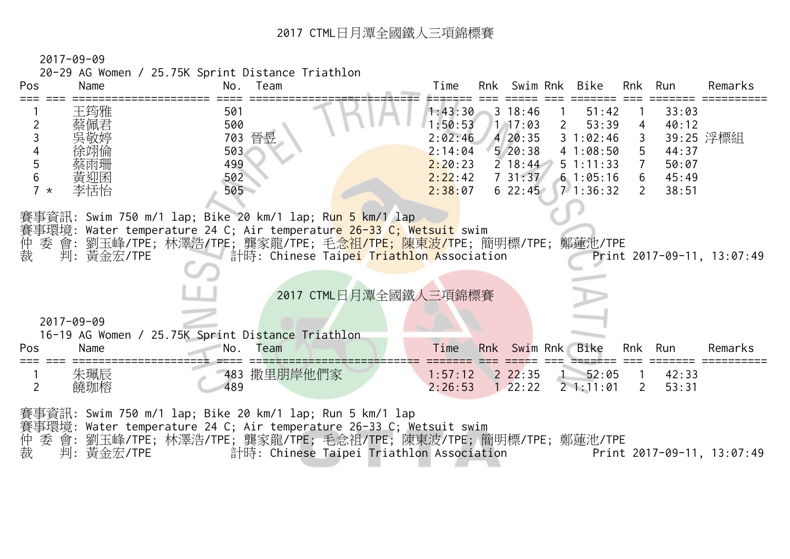2017-09-09

20-29 AG Women / 25.75K Sprint Distance Triathlon

| Pos              | Name                                   | No.<br>Team                                                                                                                                                                                                                                                                                                            | Time                                                                      | Rnk Swim Rnk                                                                         |                               | Bike                                                                            | Rnk                                                                | Run                                                | Remarks                    |
|------------------|----------------------------------------|------------------------------------------------------------------------------------------------------------------------------------------------------------------------------------------------------------------------------------------------------------------------------------------------------------------------|---------------------------------------------------------------------------|--------------------------------------------------------------------------------------|-------------------------------|---------------------------------------------------------------------------------|--------------------------------------------------------------------|----------------------------------------------------|----------------------------|
| 5<br>6<br>$7 *$  | 王筠雅<br>蔡佩君<br>徐翊倫<br>蔡雨珊<br>黃迎囷<br>李恬怡 | 501<br>500<br>703 晉昱<br>503<br>499<br>502<br>505                                                                                                                                                                                                                                                                       | 1:43:30<br>1:50:53<br>2:02:46<br>2:14:04<br>2:20:23<br>2:22:42<br>2:38:07 | $3 \t18:46$<br>1, 17:03<br>420:35<br>520:38<br>$2 \t18:44$<br>731:37<br>$6\;\;22:45$ | $\overline{1}$<br>$2^{\circ}$ | 51:42<br>53:39<br>31:02:46<br>41:08:50<br>$5 \t1:11:33$<br>61:05:16<br>71:36:32 | 4<br>3<br>5<br>$\overline{7}$<br>$6\overline{6}$<br>$\overline{2}$ | 33:03<br>40:12<br>44:37<br>50:07<br>45:49<br>38:51 | 39:25 浮標組                  |
| 仲裁               | 判:黃金宏/TPE                              | 賽事資訊: Swim 750 m/1 lap; Bike 20 km/1 lap; R <mark>un 5 km/1 l</mark> ap<br>賽事環境: Water temperature 24 C; Air temperatur <mark>e 26-33 C; Wetsuit</mark> swim<br>委 會: 劉玉峰/TPE; 林澤浩/TPE; 龔家龍/TPE; 毛 <mark>念祖/TPE; 陳東波/T</mark> PE; 簡明標/TPE; 鄭蓮池/TPE<br>計時: Chinese Taipei Triathlon Association<br>2017 CTML日月潭全國鐵人三項錦標賽 |                                                                           |                                                                                      |                               |                                                                                 |                                                                    |                                                    | Print 2017-09-11, 13:07:49 |
| $2017 - 09 - 09$ |                                        | 16-19 AG Women / 25.75K Sprint Distance Triathlon                                                                                                                                                                                                                                                                      |                                                                           |                                                                                      |                               |                                                                                 |                                                                    |                                                    |                            |
| Pos              | Name                                   | No.<br>Team                                                                                                                                                                                                                                                                                                            | Time                                                                      | Rnk Swim Rnk                                                                         |                               | Bike                                                                            | Rnk                                                                | Run                                                | Remarks                    |
| $\overline{2}$   | 朱珮辰<br>饒珈榕                             | 483 撒里朋岸他們家<br>489                                                                                                                                                                                                                                                                                                     | 1:57:12<br>2:26:53                                                        | 22:35<br>$1 \ 22:22$                                                                 |                               | 52:05<br>21:11:01                                                               | $\overline{1}$<br>$\overline{2}$                                   | 42:33<br>53:31                                     |                            |
|                  |                                        | 賽事資訊: Swim 750 m/1 lap; Bike 20 km/1 lap; Run 5 km/1 lap<br>賽事環境: Water temperature 24 C; Air temperature 26-33 C; Wetsuit swim<br>委 會: 劉玉峰/TPE; 林澤浩/TPE; 龔家龍/TPE; 毛念祖/TPE; 陳東波/TPE; 簡明標/TPE; 鄭蓮池/TPE                                                                                                                  |                                                                           |                                                                                      |                               |                                                                                 |                                                                    |                                                    |                            |

裁 判: 黃金宏/TPE 計時: Chinese Taipei Triathlon Association Print 2017-09-11, 13:07:49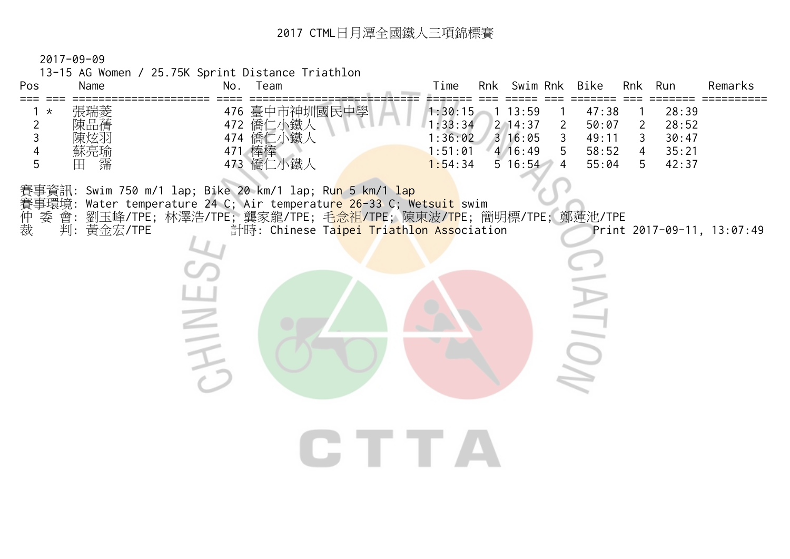2017-09-09

13-15 AG Women / 25.75K Sprint Distance Triathlon

**HAINE** 

| 張瑞菱<br>中學<br>节神圳國民中、<br>臺中<br>476<br>1:30:15<br>28:39<br>47:38<br>13:59<br>陳品蒨<br>△鐵人<br>- 僑仁<br>472<br>: 33:34<br>28:52<br>$2 \t14:37$<br>50:07<br>າ<br>鐵人<br>僑仁<br>陳炫羽<br>474<br>$3 \, 16:05$<br>:36:02<br>49:11<br>30:47<br>蘇亮瑜<br>471<br>:51:01<br>58:52<br>$4 \t16:49$<br>35:21<br>4 | No.<br>eam | <b>Bike</b><br>Swim<br>Rnk<br>Rnk | Run<br>Remarks |
|-------------------------------------------------------------------------------------------------------------------------------------------------------------------------------------------------------------------------------------------------------------------------------------------|------------|-----------------------------------|----------------|
| 霈<br>、鐵<br>僑<br>口<br>473<br>$5 \t16:54$<br>42:37<br>1:54:34<br>55:04<br>$\overline{\phantom{0}}$<br>-4<br>5                                                                                                                                                                               | ľφ         |                                   |                |

賽事資訊: Swim 750 m/1 lap; Bike 20 km/1 lap; Ru<mark>n 5 km/1 lap</mark> 賽事環境: Water temperature 24 C; Air temperature 26-33 C; Wetsuit swim

委 會: 劉玉峰/TPE; 林澤浩/TPE; 龔家龍/TPE; 毛<mark>念祖/TP</mark>E; 陳東波/<mark>TP</mark>E; 簡明標/TPE; 鄭蓮池/TPE

什裁 裁 判: 黃金宏/TPE 計時: Chinese Ta<mark>ipei Triathlon Asso</mark>ciation Print 2017-09-11, 13:07:49

 $\sum_{i=1}^{n}$ 

CTTA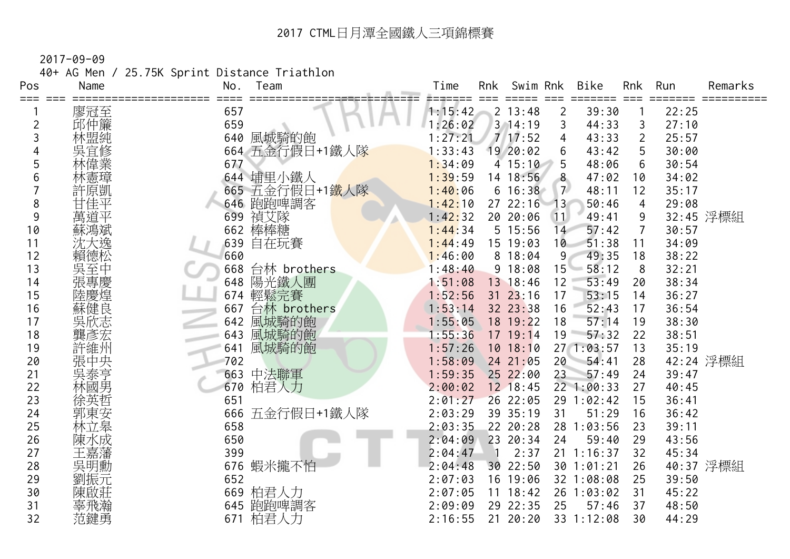40+ AG Men / 25.75K Sprint Distance Triathlon

| Pos     | Name | Team<br>No.        | Time    | Rnk<br>Swim Rnk |                | <b>Bike</b> | Rnk            | Run   | Remarks   |
|---------|------|--------------------|---------|-----------------|----------------|-------------|----------------|-------|-----------|
| === === | 廖冠至  | 657                | 1:15:42 | 2 13:48         | 2              | 39:30       |                | 22:25 |           |
| 2       | 邱仲簾  | 659                | 1:26:02 | 3, 14:19        | 3              | 44:33       | 3              | 27:10 |           |
| 3       | 林盟純  | 風城騎的飽<br>640       | 1:27:21 | 717:52          | 4              | 43:33       | $\overline{2}$ | 25:57 |           |
|         | 吳宜修  | 五金行假日+1鐵人隊<br>664  | 1:33:43 | 19 20:02        | 6              | 43:42       | 5              | 30:00 |           |
| 5       | 偉業   | 677                | 1:34:09 | 415:10          | 5              | 48:06       | 6              | 30:54 |           |
| 6       | 林憲璋  | 644 埔里小鐵人          | 1:39:59 | 14 18:56        | 8              | 47:02       | 10             | 34:02 |           |
|         | 許原凱  | 665 五金行假日+1鐵人隊     | 1:40:06 | $6\;16:38$      | 7 <sup>2</sup> | 48:11       | 12             | 35:17 |           |
| 8       | 甘佳平  | 646 跑跑啤調客          | 1:42:10 | 27 22:16        | 13             | 50:46       | 4              | 29:08 |           |
| 9       | 萬道平  | 禎艾隊<br>699         | 1:42:32 | 20 20:06        | 11             | 49:41       | 9              |       | 32:45 浮標組 |
| 10      | 蘇鴻斌  | 棒棒糖<br>662         | 1:44:34 | 5 15:56         | 14             | 57:42       | 7              | 30:57 |           |
| 11      | 沈大逸  | 639<br>自在玩賽        | 1:44:49 | 15 19:03        | 10             | 51:38       | 11             | 34:09 |           |
| 12      | 賴德松  | 660                | 1:46:00 | 8 18:04         | 9              | 49:35       | 18             | 38:22 |           |
| 13      | 吳至中  | 台林 brothers<br>668 | 1:48:40 | 9 18:08         | 15             | 58:12       | 8              | 32:21 |           |
| 14      | 張專慶  | 陽光鐵人團<br>648       | 1:51:08 | 13 18:46        | 12             | 53:49       | 20             | 38:34 |           |
| 15      | 陸慶煌  | 輕鬆完賽<br>674        | 1:52:56 | $31 \t23:16$    | 17             | 53:15       | 14             | 36:27 |           |
| 16      | 蘇健良  | 667<br>台林 brothers | 1:53:14 | 32 23:38        | 16             | 52:43       | 17             | 36:54 |           |
| 17      | 吳欣志  | 風城騎的飽<br>642       | 1:55:05 | 18 19:22        | 18             | 57:14       | 19             | 38:30 |           |
| 18      | 龔彥宏  | 風城騎的飽<br>643       | 1:55:36 | 17 19:14        | 19             | 57:32       | 22             | 38:51 |           |
| 19      | 許維州  | 風城騎的飽<br>641       | 1:57:26 | $10$ $18:10$    |                | 27 1:03:57  | 13             | 35:19 |           |
| 20      | 張中央  | 702                | 1:58:09 | 24 21:05        | 20             | 54:41       | 28             |       | 42:24 浮標組 |
| 21      | 吳泰亨  | 中法聯軍<br>663        | 1:59:35 | 252:00          | 23             | 57:49       | 24             | 39:47 |           |
| 22      | 林國男  | 柏君人力<br>670        | 2:00:02 | 12 18:45        |                | 22 1:00:33  | 27             | 40:45 |           |
| 23      | 徐英哲  | 651                | 2:01:27 | 26 22:05        |                | 29 1:02:42  | 15             | 36:41 |           |
| 24      | 郭東安  | 五金行假日+1鐵人隊<br>666  | 2:03:29 | 39 35:19        | 31             | 51:29       | 16             | 36:42 |           |
| 25      | 林立皋  | 658                | 2:03:35 | 22 20:28        |                | 28 1:03:56  | 23             | 39:11 |           |
| 26      | 陳水成  | 650                | 2:04:09 | 23 20:34        | 24             | 59:40       | 29             | 43:56 |           |
| 27      | 王嘉藩  | 399                | 2:04:47 | 2:37            |                | 21 1:16:37  | 32             | 45:34 |           |
| 28      | 吳明勳  | 蝦米攏不怕<br>676       | 2:04:48 | 30 22:50        |                | 30 1:01:21  | 26             |       | 40:37 浮標組 |
| 29      | 劉振元  | 652                | 2:07:03 | 16 19:06        |                | 32 1:08:08  | 25             | 39:50 |           |
| 30      | 陳啟莊  | 柏君人力<br>669        | 2:07:05 | 18:42<br>11     |                | 26 1:03:02  | 31             | 45:22 |           |
| 31      | 辜飛瀚  | 跑跑啤調客<br>645       | 2:09:09 | 29 22:35        | 25             | 57:46       | 37             | 48:50 |           |
| 32      | 范鍵勇  | 柏君人力<br>671        | 2:16:55 | 21 20:20        |                | 33 1:12:08  | 30             | 44:29 |           |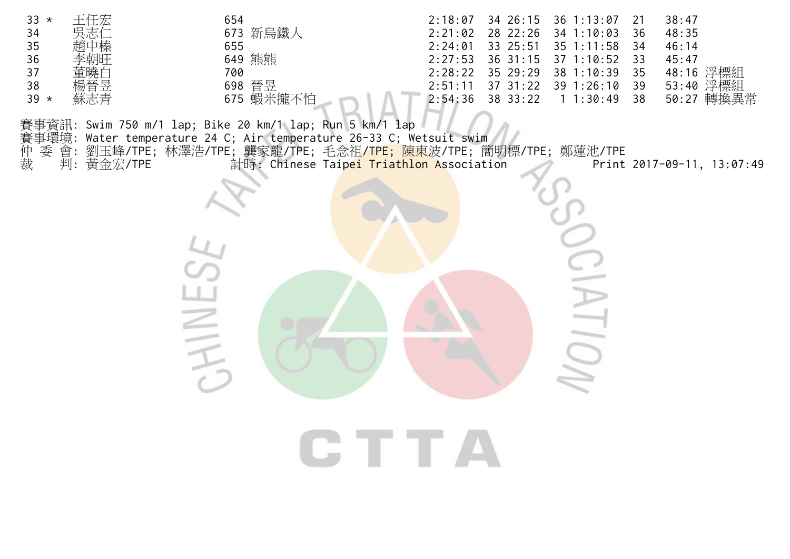| $33 *$ | 王任宏 | 654         | 2:18:07 |                    | 34 26:15 36 1:13:07           |    | 38:47         |
|--------|-----|-------------|---------|--------------------|-------------------------------|----|---------------|
| 34     | 吳志仁 | 新鳥鐵人<br>673 | 2:21:02 |                    | 28 22:26 34 1:10:03           | 36 | 48:35         |
| 35     | 趙中榛 | 655         | 2:24:01 | 33 25:51           | $35$ 1:11:58                  | 34 | 46:14         |
| 36     | 李朝旺 | 熊熊<br>649   |         |                    | $2:27:53$ 36 31:15 37 1:10:52 | २२ | 45:47         |
| 37     | 董曉白 | 700         |         | $2:28:22$ 35 29:29 | 38 1:10:39                    | 35 | 48:16 浮標組     |
| 38     | 楊晉昱 | 晉昱<br>698   | 2:51:11 | $37 \ \ 31:22$     | $39 \t1:26:10$                | 39 | 53:40 浮標組     |
| $39 *$ | 蘇志青 | 675 蝦米攏不怕   | 2:54:36 | 38 33:22           | 1:30:49                       | 38 | 轉換異常<br>50:27 |
|        |     |             |         |                    |                               |    |               |

賽事資訊: Swim 750 m/1 lap; Bike 20 km/1 lap; Run 5 km/1 lap

賽事環境: Water temperature 24 C; Air temperature 26-33 C; Wetsuit swim 賽仲裁 委 會: 劉玉峰/TPE; 林澤浩/TPE; 龔家龍/TPE; 毛念祖<mark>/TPE; 陳東</mark>波/TPE; 簡明標/TPE; 鄭蓮池/TPE 裁 判: 黃金宏/TPE 計時: Chinese Taip<mark>ei Triathlon A</mark>ssociation Print 2017-09-11, 13:07:49

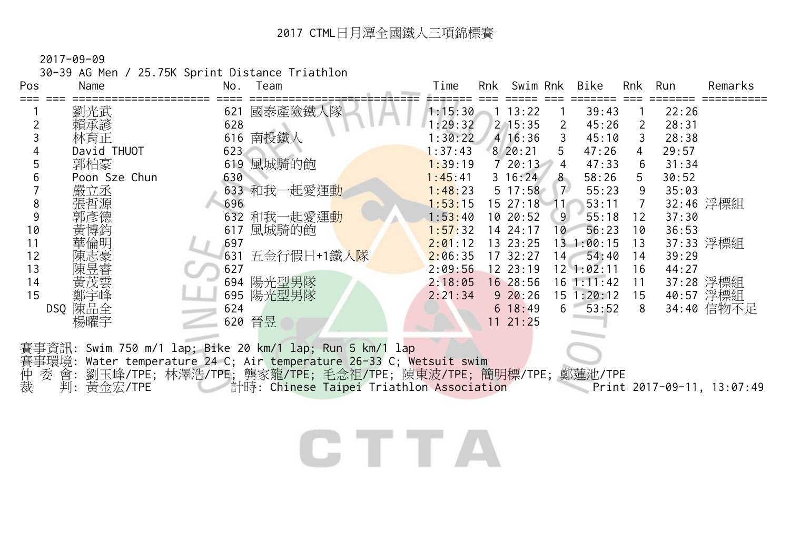30-39 AG Men / 25.75K Sprint Distance Triathlon

| Pos | Name          | No.<br>Team                                              | Time           | Rnk | Swim Rnk     |                | Bike           | Rnk | Run   | Remarks    |
|-----|---------------|----------------------------------------------------------|----------------|-----|--------------|----------------|----------------|-----|-------|------------|
|     | 劉光武           | 國泰產險鐵人隊<br>621                                           | 1:15:30        |     | 13:22        |                | 39:43          |     | 22:26 |            |
|     | 賴承諺           | 628                                                      | : 29:32        |     | $2 \, 15:35$ | 2              | 45:26          | 2   | 28:31 |            |
|     | 林育正           | 南投鐵人<br>616                                              | :30:22         |     | 416:36       |                | 45:10          | 3   | 28:38 |            |
|     | David THUOT   | 623                                                      | $\vert$ :37:43 |     | 8'20:21      | 5              | 47:26          | 4   | 29:57 |            |
|     | 郭柏豪           | 風城騎的飽<br>619                                             | 1:39:19        |     | 720:13       | 4              | 47:33          | 6   | 31:34 |            |
|     | Poon Sze Chun | 630                                                      | 1:45:41        |     | $3 \t16:24$  | 8 <sup>8</sup> | 58:26          | 5.  | 30:52 |            |
|     | 嚴立丞           | 633 和我一起愛運動                                              | 1:48:23        |     | $5\;17:58$   | 7 <sup>7</sup> | 55:23          | 9   | 35:03 |            |
| 8   | 張哲源           | 696                                                      | 1:53:15        |     | 1527:18      | 114            | 53:11          | 7   |       | 32:46 浮標組  |
|     | 郭彥德           | 632 和我一起愛運動                                              | 1:53:40        |     | 10 20:52     | 9              | 55:18          | 12  | 37:30 |            |
| 10  | 黃博鈞           | 風城騎的飽<br>617                                             | 1:57:32        |     | 14 24:17     | 10             | 56:23          | 10  | 36:53 |            |
| 11  | 華倫明           | 697                                                      | 2:01:12        |     | 13 23:25     |                | 13 1:00:15     | 13  |       | 37:33 浮標組  |
| 12  | 陳志豪           | 五金行假日+1鐵人隊<br>631                                        | 2:06:35        |     | 17 32:27     | $-14 -$        | 54:40          | 14  | 39:29 |            |
| 13  | 陳昱睿           | 627                                                      | 2:09:56        |     | 1223:19      |                | 12 1:02:11     | 16  | 44:27 |            |
| 14  | 黃茂雲           | 陽光型男隊<br>694                                             | 2:18:05        |     | 16 28:56     |                | $16 \t1:11:42$ | 11  |       | 37:28 浮標組  |
| 15  | 鄭宇峰           | 陽光型男隊<br>695                                             | 2:21:34        |     | $9\ 20:26$   |                | 15 1:20:12     | 15  |       | 40:57 浮標組  |
|     | 陳品全<br>DSQ    | 624                                                      |                |     | 6 18:49      | 6              | 53:52          | 8   |       | 34:40 信物不足 |
|     | 楊曜宇           | 晉昱<br>620                                                |                |     | 11 21:25     |                |                |     |       |            |
|     |               | 賽事資訊: Swim 750 m/1 lap; Bike 20 km/1 lap; Run 5 km/1 lap |                |     |              |                |                |     |       |            |

**CTTA** 

賽事環境: Water temperature 24 C; Air temperature 26-33 C; Wetsuit swim 仲 委 會: 劉玉峰/TPE; 林澤浩/TPE; 龔家龍/TPE; 毛念祖/TPE; 陳東波/TPE; 簡明標/TPE; 鄭蓮池/TPE

裁 判: 黃金宏/TPE 計時: Chinese Taipei Triathlon Association Print 2017-09-11, 13:07:49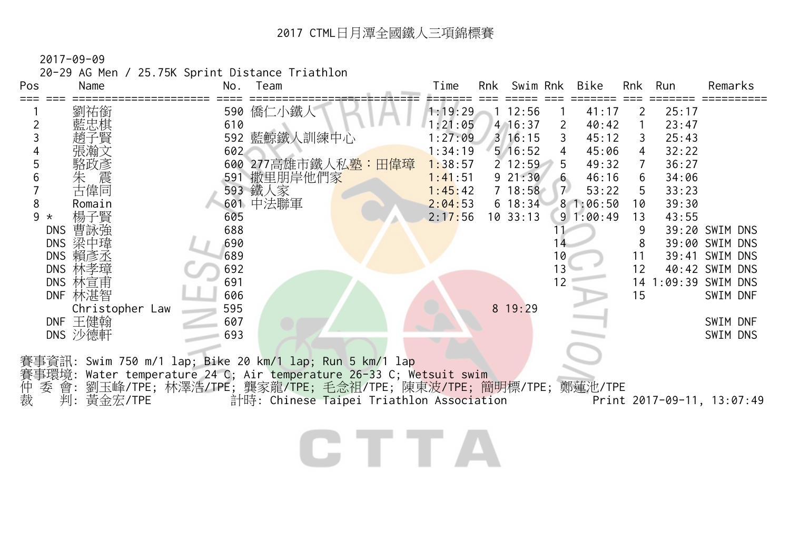2017-09-09

20-29 AG Men / 25.75K Sprint Distance Triathlon

| Pos          | Name              | No. | Team                                                                | Time    | Rnk | Swim Rnk     |                | Bike     | Rnk                       | Run   | Remarks                    |
|--------------|-------------------|-----|---------------------------------------------------------------------|---------|-----|--------------|----------------|----------|---------------------------|-------|----------------------------|
|              | 劉祐銜               |     | 590 僑仁小鐵人                                                           | 1:19:29 |     | 112:56       |                | 41:17    | $\mathbf{2}^{\mathsf{I}}$ | 25:17 |                            |
|              | 藍忠棋               | 610 |                                                                     | 1:21:05 |     | 4 16:37      | $\overline{2}$ | 40:42    |                           | 23:47 |                            |
|              |                   |     | 592 藍鯨鐵人訓練中心                                                        | 1:27:09 |     | $3 \; 16:15$ | 3              | 45:12    | 3                         | 25:43 |                            |
|              | 提瀚文               | 602 |                                                                     | 1:34:19 |     | $5 \t16:52$  | 4              | 45:06    | 4                         | 32:22 |                            |
|              | 駱政彥               |     | 600 277高雄市鐵人私 <u>塾:田偉璋</u>                                          | 1:38:57 |     | $2\;12:59$   | 5              | 49:32    | $\overline{7}$            | 36:27 |                            |
|              | 朱<br>古偉同          |     | 591 撒里朋岸他們家                                                         | 1:41:51 |     | $9\;21:30$   | $-6$           | 46:16    | 6                         | 34:06 |                            |
|              |                   |     | 593 鐵人家                                                             | 1:45:42 |     | $7\;18:58$   | 7 <sup>7</sup> | 53:22    | 5                         | 33:23 |                            |
| 8            | Romain            |     | 601 中法聯軍                                                            | 2:04:53 |     | $6 \t18:34$  |                | 81:06:50 | 10                        | 39:30 |                            |
| 9<br>$\star$ | 楊子賢               | 605 |                                                                     | 2:17:56 |     | 10.33:13     |                | 91:00:49 | 13                        | 43:55 |                            |
|              | 曹詠強<br><b>DNS</b> | 688 |                                                                     |         |     |              |                |          |                           |       | 39:20 SWIM DNS             |
|              | DNS 梁中瑋           | 690 |                                                                     |         |     |              |                |          | 8                         |       | 39:00 SWIM DNS             |
|              | DNS 賴彥丞           | 689 |                                                                     |         |     |              | 10             |          | 11                        |       | 39:41 SWIM DNS             |
|              | DNS 林孝璋           | 692 |                                                                     |         |     |              | 13             |          | 12                        |       | 40:42 SWIM DNS             |
|              | DNS 林宣甫           | 691 |                                                                     |         |     |              | 12             |          |                           |       | 14 1:09:39 SWIM DNS        |
|              | DNF 林湛智           | 606 |                                                                     |         |     |              |                |          | 15                        |       | SWIM DNF                   |
|              | Christopher Law   | 595 |                                                                     |         |     | 8 19:29      |                |          |                           |       |                            |
|              | DNF 王健翰           | 607 |                                                                     |         |     |              |                |          |                           |       | SWIM DNF                   |
|              | DNS 沙德軒           | 693 |                                                                     |         |     |              |                |          |                           |       | SWIM DNS                   |
|              |                   |     | 賽事資訊: Swim 750 m/1 lap; Bike 20 km/1 lap; Run 5 km/1 lap            |         |     |              |                |          |                           |       |                            |
|              |                   |     | 賽事環境: Water temperature 24 C; Air temperature 26-33 C; Wetsuit swim |         |     |              |                |          |                           |       |                            |
|              |                   |     | 委 會: 劉玉峰/TPE; 林澤浩/TPE; 龔家龍/TPE; 毛念祖/TPE; 陳東波/TPE; 簡明標/TPE; 鄭蓮池/TPE  |         |     |              |                |          |                           |       |                            |
| 仲裁           | 判:黃金宏/TPE         |     | 計時: Chinese Taipei Triathlon Association                            |         |     |              |                |          |                           |       | Print 2017-09-11, 13:07:49 |
|              |                   |     |                                                                     |         |     |              |                |          |                           |       |                            |
|              |                   |     |                                                                     |         |     |              |                |          |                           |       |                            |

CTTA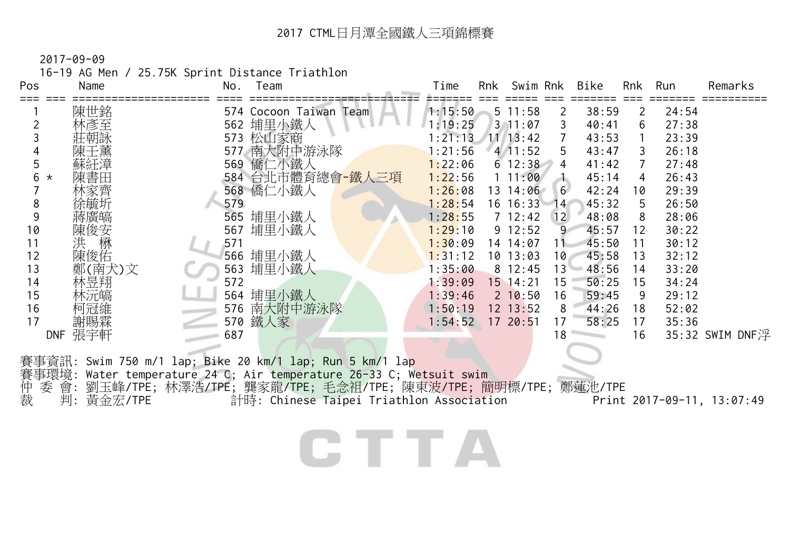16-19 AG Men / 25.75K Sprint Distance Triathlon

| Pos          | Name         | No. | Team                                                                                                                                                                                                                                                                         | Time               | Rnk Swim Rnk |                 | Bike         | Rnk             | Run   | Remarks         |
|--------------|--------------|-----|------------------------------------------------------------------------------------------------------------------------------------------------------------------------------------------------------------------------------------------------------------------------------|--------------------|--------------|-----------------|--------------|-----------------|-------|-----------------|
|              | 陳世銘          |     | 574 Cocoon Taiwan Team                                                                                                                                                                                                                                                       | 1:15:50            | $5 \t11:58$  | 2               | 38:59        | $\overline{2}$  | 24:54 |                 |
|              | 林彥至          |     | 562 埔里小鐵人                                                                                                                                                                                                                                                                    | 1:19:25            | $3 \t11:07$  | 3               | 40:41        | 6               | 27:38 |                 |
|              | 莊朝詠          |     | 573 松山家商                                                                                                                                                                                                                                                                     | $1:21:13$ 11 13:42 |              | $7\overline{ }$ | 43:53        | $\overline{1}$  | 23:39 |                 |
|              | 陳壬薰          |     | 577 南大附中游泳隊                                                                                                                                                                                                                                                                  | 1:21:56            | 41:52        | 5 <sup>5</sup>  | 43:47        | $\mathbf{3}$    | 26:18 |                 |
| 5            | 蘇紝漳          |     | 569 僑仁小鐵人                                                                                                                                                                                                                                                                    | 1:22:06            | 612:3844     |                 | 41:42        | $7\overline{ }$ | 27:48 |                 |
| 6<br>$\star$ | 陳書田          |     | 584 台北市體育總會-鐵人三項                                                                                                                                                                                                                                                             | 1:22:56            | $1\;11:00$   | 末               | 45:14        | $\overline{4}$  | 26:43 |                 |
|              | 林家齊          |     | 568 僑仁小鐵人                                                                                                                                                                                                                                                                    | 1:26:08            | 13 14:06     | 6               | 42:24        | 10              | 29:39 |                 |
| 8            |              | 579 |                                                                                                                                                                                                                                                                              | 1:28:54            | 16 16:33 14  |                 | 45:32        | 5               | 26:50 |                 |
| 9            | 蔣廣皜          |     | 565 埔里小鐵人                                                                                                                                                                                                                                                                    | 1:28:55            | 7 12:42 12   |                 | 48:08        | 8               | 28:06 |                 |
| 10           | 陳俊安<br>洪<br> |     | 567 埔里小鐵人                                                                                                                                                                                                                                                                    | 1:29:10            | $9\ 12:52$   | 9               | 45:57        | 12              | 30:22 |                 |
| 11           |              | 571 |                                                                                                                                                                                                                                                                              | 1:30:09            | 14 14:07     | $11 -$          | 45:50        | 11              | 30:12 |                 |
| 12           | 陳俊佑          |     | 566 埔里小鐵人                                                                                                                                                                                                                                                                    | 1:31:12            | 10 13:03     | 10 <sup>7</sup> | 45:58        | 13              | 32:12 |                 |
| 13           | 鄭(南犬)文       |     | 563 埔里小鐵人                                                                                                                                                                                                                                                                    | 1:35:00            | $8 \t12:45$  |                 | $13 - 48:56$ | 14              | 33:20 |                 |
| 14           | 林昱翔          | 572 |                                                                                                                                                                                                                                                                              | 1:39:09            | $15$ 14:21   | 15              | 50:25        | 15              | 34:24 |                 |
| 15           | 林沅皜          |     | 564 埔里小鐵人                                                                                                                                                                                                                                                                    | 1:39:46            | $2 \t10:50$  | 16              | 59:45        | - 9             | 29:12 |                 |
| 16           | 柯冠維          |     | 576 南大附中游泳隊                                                                                                                                                                                                                                                                  | 1:50:19            | $12$ $13:52$ | 8               | 44:26        | 18              | 52:02 |                 |
| 17           | 謝賜霖          |     | 570 鐵人家                                                                                                                                                                                                                                                                      | 1:54:52            | 17 20:51     | 17              | 58:25        | 17              | 35:36 |                 |
|              | DNF 張宇軒      | 687 |                                                                                                                                                                                                                                                                              |                    |              | 18              |              | 16              |       | 35:32 SWIM DNF浮 |
| 仲<br>裁       | 判:黃金宏/TPE    |     | 賽事資訊: Swim 750 m/1 lap; Bike 20 km/1 lap; Run 5 km/1 lap<br>賽事環境: Water temperature 24 C; Air temperature 26-33 C; Wetsuit swim<br>委 會: 劉玉峰/TPE; 林澤浩/TPE; 龔家龍/TPE; 毛念祖/TPE; 陳東波/TPE; 簡明標/TPE; 鄭蓮池/TPE<br>計時: Chinese Taipei Triathlon Association Print 2017-09-11, 13:07:49 |                    |              |                 |              |                 |       |                 |
|              |              |     |                                                                                                                                                                                                                                                                              |                    |              |                 |              |                 |       |                 |

CTTA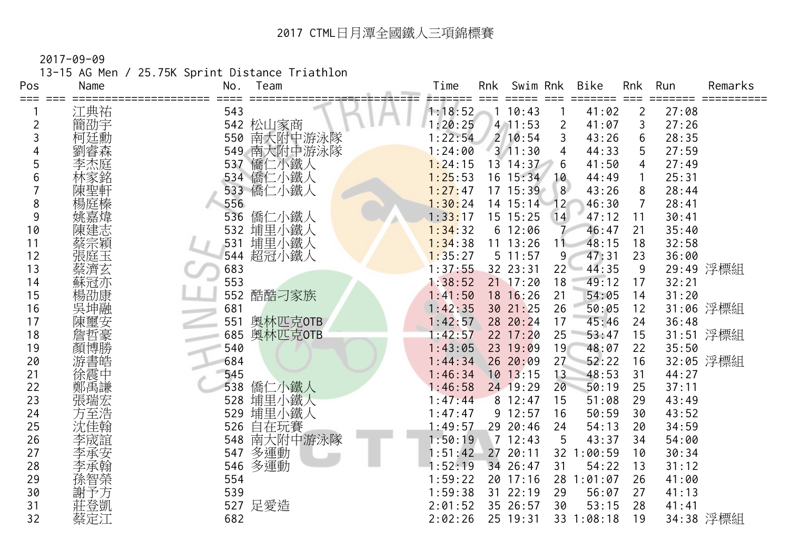2017-09-09

13-15 AG Men / 25.75K Sprint Distance Triathlon

| Pos | Name | Team<br>No.    | Time<br>Rnk<br>Swim Rnk<br><b>Bike</b><br>Rnk<br>Run<br>Remarks |
|-----|------|----------------|-----------------------------------------------------------------|
| === | 江典祐  | 543            | 1:18:52<br>10:43<br>41:02<br>27:08<br>2                         |
|     | 簡劭宇  | 542 松山家商       | 1:20:25<br>3<br>27:26<br>$4$ 11:53<br>2<br>41:07                |
| 3   | 柯廷勳  | 南大附中游泳隊<br>550 | 1:22:54<br>210:54<br>43:26<br>6<br>28:35<br>3                   |
|     |      | 南大附中游泳隊<br>549 | 1:24:00<br>$3 \overline{11:}30$<br>44:33<br>27:59<br>5<br>4     |
|     |      | 僑仁小鐵人<br>537   | 27:49<br>1:24:15<br>13 14:37<br>41:50<br>6<br>4                 |
| 6   |      | 僑仁小鐵人<br>534   | 1:25:53<br>25:31<br>$16 \t15:34$<br>10<br>44:49<br>1            |
|     |      | 533 僑仁小鐵人      | 1:27:47<br>17 15:39<br>8<br>28:44<br>43:26<br>8                 |
| 8   | 楊庭榛  | 556            | 1:30:24<br>28:41<br>14 15:14<br>12<br>46:30<br>7                |
| 9   | 姚嘉煒  | 僑仁小鐵人<br>536   | 1:33:17<br>15 15:25<br>14<br>47:12<br>30:41<br>11               |
| 10  | 陳建志  | 埔里小鐵人<br>532   | 1:34:32<br>6 12:06<br>35:40<br>46:47<br>21                      |
| 11  | 蔡宗穎  | 埔里小鐵人<br>531   | 1:34:38<br>$11$ $13:26$<br>48:15<br>18<br>32:58<br>11           |
| 12  | 張庭玉  | 超冠小鐵人<br>544   | 47:31<br>1:35:27<br>5 11:57<br>9 <sub>l</sub><br>23<br>36:00    |
| 13  | 蔡濟玄  | 683            | 29:49 浮標組<br>1:37:55<br>22<br>44:35<br>32 23:31<br>9            |
| 14  | 蘇冠亦  | 553            | 49:12<br>1:38:52<br>$21$ 17:20<br>18<br>32:21<br>17             |
| 15  | 楊劭康  | 酷酷刁家族<br>552   | 18 16:26<br>21<br>54:05<br>14<br>31:20<br>1:41:50               |
| 16  | 吳坤融  | 681            | 31:06 浮標組<br>30 21:25<br>26<br>1:42:35<br>50:05<br>12           |
| 17  |      | 奥林匹克OTB<br>551 | 1:42:57<br>28 20:24<br>17<br>45:46<br>24<br>36:48               |
| 18  |      | 奥林匹克OTB<br>685 | 31:51 浮標組<br>25<br>1:42:57<br>$22 \t17:20$<br>53:47<br>15       |
| 19  | 顏博勝  | 540            | 23 19:09<br>1:43:05<br>19<br>48:07<br>22<br>35:50               |
| 20  | 游書皓  | 684            | 27<br>52:22<br>32:05 浮標組<br>1:44:34<br>26 20:09<br>16           |
| 21  | 徐震中  | 545            | $10$ 13:15<br>1:46:34<br>13<br>48:53<br>31<br>44:27             |
| 22  | 鄭禹謙  | 538<br>僑仁小鐵人   | 24 19:29<br>20<br>:46:58<br>50:19<br>25<br>37:11                |
| 23  | 張瑞宏  | 埔里小鐵人<br>528   | 1:47:44<br>812:47<br>15<br>51:08<br>29<br>43:49                 |
| 24  | 方至浩  | 埔里小鐵人<br>529   | 9 12:57<br>1:47:47<br>16<br>50:59<br>30<br>43:52                |
| 25  | 沈佳翰  | 自在玩賽<br>526    | 29 20:46<br>54:13<br>34:59<br>1:49:57<br>24<br>20               |
| 26  | 李宬誼  | 南大附中游泳隊<br>548 | 712:43<br>43:37<br>54:00<br>1:50:19<br>5<br>34                  |
| 27  | 李承安  | 多運動<br>547     | 20:11<br>1:51:42<br>27<br>32 1:00:59<br>30:34<br>10             |
| 28  |      | 多運動<br>546     | 34 26:47<br>54:22<br>31:12<br>:52:19<br>31<br>13                |
| 29  | 孫智榮  | 554            | 1:59:22<br>20 17:16<br>28<br>:01:07<br>26<br>41:00              |
| 30  |      | 539            | 1:59:38<br>31 22:19<br>56:07<br>29<br>27<br>41:13               |
| 31  | 莊登凱  | 527 足愛造        | 35 26:57<br>2:01:52<br>30<br>53:15<br>28<br>41:41               |
| 32  | 蔡定江  | 682            | 34:38 浮標組<br>2:02:26<br>25 19:31<br>33 1:08:18<br>19            |